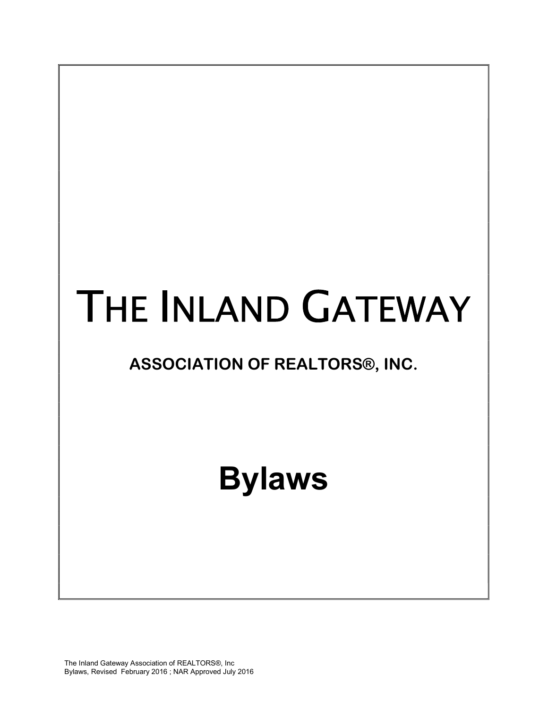# THE INLAND GATEWAY

## ASSOCIATION OF REALTORS®, INC.

# Bylaws

The Inland Gateway Association of REALTORS®, Inc Bylaws, Revised February 2016 ; NAR Approved July 2016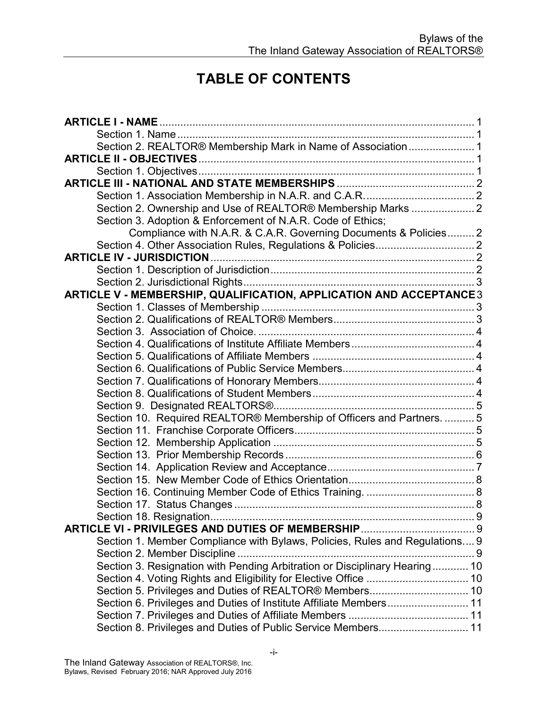### TABLE OF CONTENTS

| Section 2. REALTOR® Membership Mark in Name of Association 1                |  |
|-----------------------------------------------------------------------------|--|
|                                                                             |  |
|                                                                             |  |
|                                                                             |  |
|                                                                             |  |
| Section 2. Ownership and Use of REALTOR® Membership Marks 2                 |  |
| Section 3. Adoption & Enforcement of N.A.R. Code of Ethics;                 |  |
| Compliance with N.A.R. & C.A.R. Governing Documents & Policies 2            |  |
|                                                                             |  |
|                                                                             |  |
|                                                                             |  |
|                                                                             |  |
| ARTICLE V - MEMBERSHIP, QUALIFICATION, APPLICATION AND ACCEPTANCE 3         |  |
|                                                                             |  |
|                                                                             |  |
|                                                                             |  |
|                                                                             |  |
|                                                                             |  |
|                                                                             |  |
|                                                                             |  |
|                                                                             |  |
|                                                                             |  |
| Section 10. Required REALTOR® Membership of Officers and Partners.  5       |  |
|                                                                             |  |
|                                                                             |  |
|                                                                             |  |
|                                                                             |  |
|                                                                             |  |
|                                                                             |  |
|                                                                             |  |
|                                                                             |  |
|                                                                             |  |
| Section 1. Member Compliance with Bylaws, Policies, Rules and Regulations 9 |  |
| Section 2. Member Discipline                                                |  |
| Section 3. Resignation with Pending Arbitration or Disciplinary Hearing 10  |  |
|                                                                             |  |
| Section 5. Privileges and Duties of REALTOR® Members 10                     |  |
| Section 6. Privileges and Duties of Institute Affiliate Members 11          |  |
|                                                                             |  |
| Section 8. Privileges and Duties of Public Service Members 11               |  |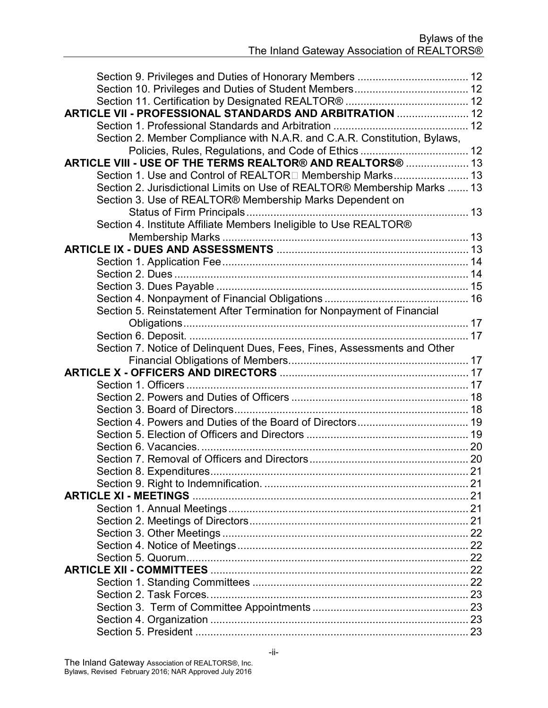| ARTICLE VII - PROFESSIONAL STANDARDS AND ARBITRATION  12                  |  |
|---------------------------------------------------------------------------|--|
|                                                                           |  |
| Section 2. Member Compliance with N.A.R. and C.A.R. Constitution, Bylaws, |  |
|                                                                           |  |
| ARTICLE VIII - USE OF THE TERMS REALTOR® AND REALTORS®  13                |  |
| Section 1. Use and Control of REALTOR□ Membership Marks 13                |  |
| Section 2. Jurisdictional Limits on Use of REALTOR® Membership Marks  13  |  |
| Section 3. Use of REALTOR® Membership Marks Dependent on                  |  |
|                                                                           |  |
| Section 4. Institute Affiliate Members Ineligible to Use REALTOR®         |  |
|                                                                           |  |
|                                                                           |  |
|                                                                           |  |
|                                                                           |  |
|                                                                           |  |
|                                                                           |  |
| Section 5. Reinstatement After Termination for Nonpayment of Financial    |  |
|                                                                           |  |
|                                                                           |  |
| Section 7. Notice of Delinquent Dues, Fees, Fines, Assessments and Other  |  |
|                                                                           |  |
|                                                                           |  |
|                                                                           |  |
|                                                                           |  |
|                                                                           |  |
|                                                                           |  |
|                                                                           |  |
|                                                                           |  |
|                                                                           |  |
|                                                                           |  |
|                                                                           |  |
| <b>ARTICLE XI - MEETINGS</b>                                              |  |
|                                                                           |  |
|                                                                           |  |
|                                                                           |  |
|                                                                           |  |
|                                                                           |  |
|                                                                           |  |
|                                                                           |  |
|                                                                           |  |
|                                                                           |  |
|                                                                           |  |
|                                                                           |  |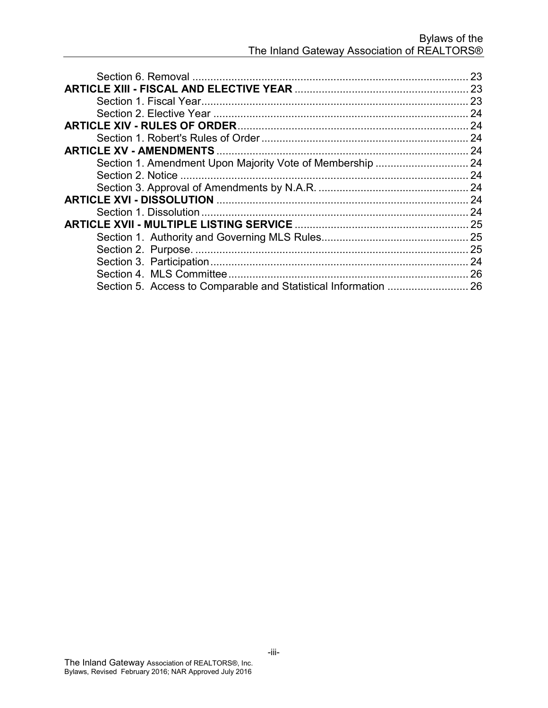|                                                           | 23 |
|-----------------------------------------------------------|----|
|                                                           |    |
|                                                           |    |
|                                                           | 24 |
|                                                           |    |
|                                                           |    |
|                                                           |    |
| Section 1. Amendment Upon Majority Vote of Membership  24 |    |
|                                                           |    |
|                                                           |    |
|                                                           |    |
|                                                           |    |
|                                                           |    |
|                                                           |    |
|                                                           |    |
|                                                           |    |
|                                                           |    |
|                                                           |    |
|                                                           |    |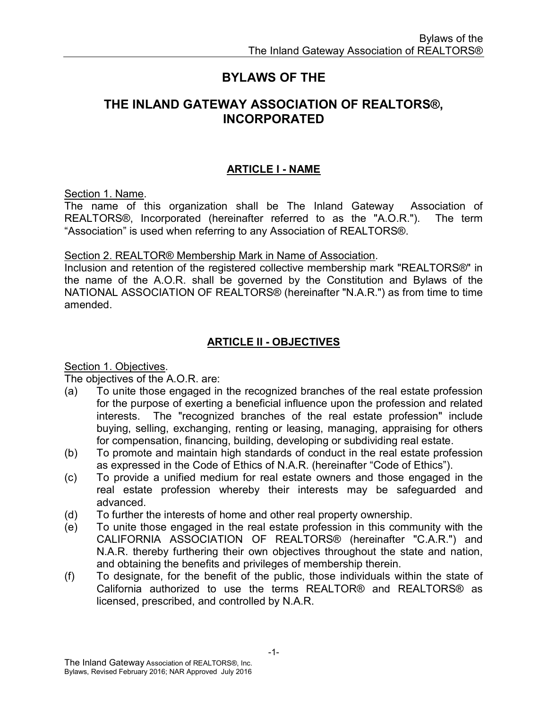#### BYLAWS OF THE

#### THE INLAND GATEWAY ASSOCIATION OF REALTORS®, INCORPORATED

#### ARTICLE I - NAME

Section 1. Name.

The name of this organization shall be The Inland Gateway Association of REALTORS®, Incorporated (hereinafter referred to as the "A.O.R."). The term "Association" is used when referring to any Association of REALTORS®.

#### Section 2. REALTOR® Membership Mark in Name of Association.

Inclusion and retention of the registered collective membership mark "REALTORS®" in the name of the A.O.R. shall be governed by the Constitution and Bylaws of the NATIONAL ASSOCIATION OF REALTORS® (hereinafter "N.A.R.") as from time to time amended.

#### ARTICLE II - OBJECTIVES

Section 1. Objectives.

The objectives of the A.O.R. are:

- (a) To unite those engaged in the recognized branches of the real estate profession for the purpose of exerting a beneficial influence upon the profession and related interests. The "recognized branches of the real estate profession" include buying, selling, exchanging, renting or leasing, managing, appraising for others for compensation, financing, building, developing or subdividing real estate.
- (b) To promote and maintain high standards of conduct in the real estate profession as expressed in the Code of Ethics of N.A.R. (hereinafter "Code of Ethics").
- (c) To provide a unified medium for real estate owners and those engaged in the real estate profession whereby their interests may be safeguarded and advanced.
- (d) To further the interests of home and other real property ownership.
- (e) To unite those engaged in the real estate profession in this community with the CALIFORNIA ASSOCIATION OF REALTORS® (hereinafter "C.A.R.") and N.A.R. thereby furthering their own objectives throughout the state and nation, and obtaining the benefits and privileges of membership therein.
- (f) To designate, for the benefit of the public, those individuals within the state of California authorized to use the terms REALTOR® and REALTORS® as licensed, prescribed, and controlled by N.A.R.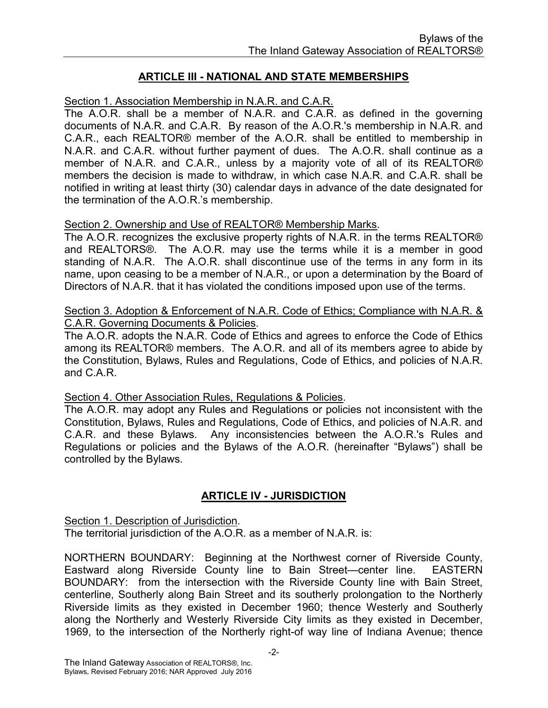#### ARTICLE III - NATIONAL AND STATE MEMBERSHIPS

Section 1. Association Membership in N.A.R. and C.A.R.

The A.O.R. shall be a member of N.A.R. and C.A.R. as defined in the governing documents of N.A.R. and C.A.R. By reason of the A.O.R.'s membership in N.A.R. and C.A.R., each REALTOR® member of the A.O.R. shall be entitled to membership in N.A.R. and C.A.R. without further payment of dues. The A.O.R. shall continue as a member of N.A.R. and C.A.R., unless by a majority vote of all of its REALTOR® members the decision is made to withdraw, in which case N.A.R. and C.A.R. shall be notified in writing at least thirty (30) calendar days in advance of the date designated for the termination of the A.O.R.'s membership.

#### Section 2. Ownership and Use of REALTOR® Membership Marks.

The A.O.R. recognizes the exclusive property rights of N.A.R. in the terms REALTOR® and REALTORS®. The A.O.R. may use the terms while it is a member in good standing of N.A.R. The A.O.R. shall discontinue use of the terms in any form in its name, upon ceasing to be a member of N.A.R., or upon a determination by the Board of Directors of N.A.R. that it has violated the conditions imposed upon use of the terms.

#### Section 3. Adoption & Enforcement of N.A.R. Code of Ethics; Compliance with N.A.R. & C.A.R. Governing Documents & Policies.

The A.O.R. adopts the N.A.R. Code of Ethics and agrees to enforce the Code of Ethics among its REALTOR® members. The A.O.R. and all of its members agree to abide by the Constitution, Bylaws, Rules and Regulations, Code of Ethics, and policies of N.A.R. and C.A.R.

#### Section 4. Other Association Rules, Regulations & Policies.

The A.O.R. may adopt any Rules and Regulations or policies not inconsistent with the Constitution, Bylaws, Rules and Regulations, Code of Ethics, and policies of N.A.R. and C.A.R. and these Bylaws. Any inconsistencies between the A.O.R.'s Rules and Regulations or policies and the Bylaws of the A.O.R. (hereinafter "Bylaws") shall be controlled by the Bylaws.

#### ARTICLE IV - JURISDICTION

Section 1. Description of Jurisdiction.

The territorial jurisdiction of the A.O.R. as a member of N.A.R. is:

NORTHERN BOUNDARY: Beginning at the Northwest corner of Riverside County, Eastward along Riverside County line to Bain Street—center line. EASTERN BOUNDARY: from the intersection with the Riverside County line with Bain Street, centerline, Southerly along Bain Street and its southerly prolongation to the Northerly Riverside limits as they existed in December 1960; thence Westerly and Southerly along the Northerly and Westerly Riverside City limits as they existed in December, 1969, to the intersection of the Northerly right-of way line of Indiana Avenue; thence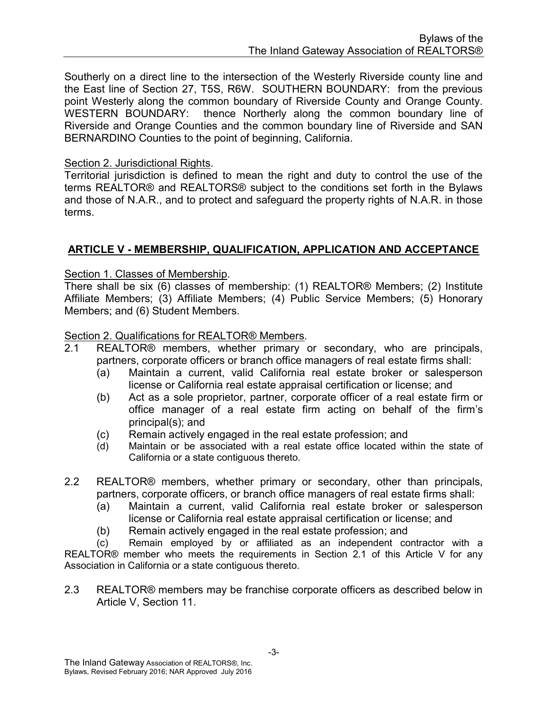Southerly on a direct line to the intersection of the Westerly Riverside county line and the East line of Section 27, T5S, R6W. SOUTHERN BOUNDARY: from the previous point Westerly along the common boundary of Riverside County and Orange County. WESTERN BOUNDARY: thence Northerly along the common boundary line of Riverside and Orange Counties and the common boundary line of Riverside and SAN BERNARDINO Counties to the point of beginning, California.

#### Section 2. Jurisdictional Rights.

Territorial jurisdiction is defined to mean the right and duty to control the use of the terms REALTOR® and REALTORS® subject to the conditions set forth in the Bylaws and those of N.A.R., and to protect and safeguard the property rights of N.A.R. in those terms.

#### ARTICLE V - MEMBERSHIP, QUALIFICATION, APPLICATION AND ACCEPTANCE

#### Section 1. Classes of Membership.

There shall be six (6) classes of membership: (1) REALTOR® Members; (2) Institute Affiliate Members; (3) Affiliate Members; (4) Public Service Members; (5) Honorary Members; and (6) Student Members.

#### Section 2. Qualifications for REALTOR® Members.

- 2.1 REALTOR® members, whether primary or secondary, who are principals, partners, corporate officers or branch office managers of real estate firms shall:
	- (a) Maintain a current, valid California real estate broker or salesperson license or California real estate appraisal certification or license; and
	- (b) Act as a sole proprietor, partner, corporate officer of a real estate firm or office manager of a real estate firm acting on behalf of the firm's principal(s); and
	- (c) Remain actively engaged in the real estate profession; and
	- (d) Maintain or be associated with a real estate office located within the state of California or a state contiguous thereto.
- 2.2 REALTOR® members, whether primary or secondary, other than principals, partners, corporate officers, or branch office managers of real estate firms shall:
	- (a) Maintain a current, valid California real estate broker or salesperson license or California real estate appraisal certification or license; and
	- (b) Remain actively engaged in the real estate profession; and

(c) Remain employed by or affiliated as an independent contractor with a REALTOR® member who meets the requirements in Section 2.1 of this Article V for any Association in California or a state contiguous thereto.

2.3 REALTOR® members may be franchise corporate officers as described below in Article V, Section 11.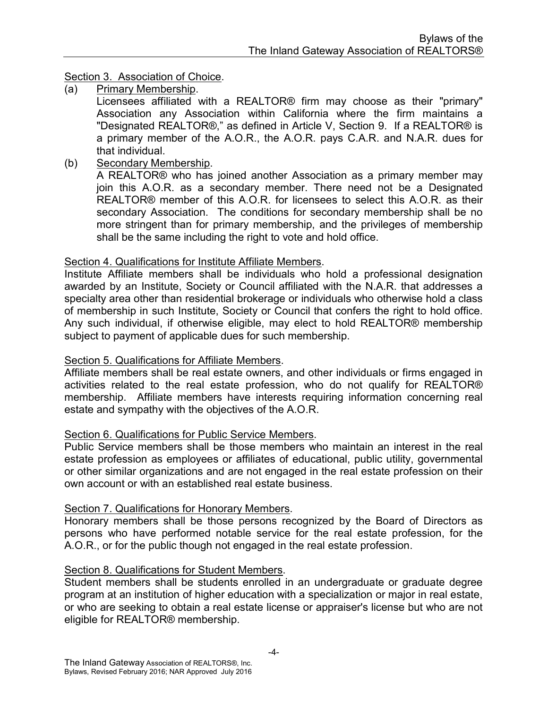#### Section 3. Association of Choice.

(a) Primary Membership.

Licensees affiliated with a REALTOR® firm may choose as their "primary" Association any Association within California where the firm maintains a "Designated REALTOR®," as defined in Article V, Section 9. If a REALTOR® is a primary member of the A.O.R., the A.O.R. pays C.A.R. and N.A.R. dues for that individual.

(b) Secondary Membership.

A REALTOR® who has joined another Association as a primary member may join this A.O.R. as a secondary member. There need not be a Designated REALTOR® member of this A.O.R. for licensees to select this A.O.R. as their secondary Association. The conditions for secondary membership shall be no more stringent than for primary membership, and the privileges of membership shall be the same including the right to vote and hold office.

#### Section 4. Qualifications for Institute Affiliate Members.

Institute Affiliate members shall be individuals who hold a professional designation awarded by an Institute, Society or Council affiliated with the N.A.R. that addresses a specialty area other than residential brokerage or individuals who otherwise hold a class of membership in such Institute, Society or Council that confers the right to hold office. Any such individual, if otherwise eligible, may elect to hold REALTOR® membership subject to payment of applicable dues for such membership.

#### Section 5. Qualifications for Affiliate Members.

Affiliate members shall be real estate owners, and other individuals or firms engaged in activities related to the real estate profession, who do not qualify for REALTOR® membership. Affiliate members have interests requiring information concerning real estate and sympathy with the objectives of the A.O.R.

#### Section 6. Qualifications for Public Service Members.

Public Service members shall be those members who maintain an interest in the real estate profession as employees or affiliates of educational, public utility, governmental or other similar organizations and are not engaged in the real estate profession on their own account or with an established real estate business.

#### Section 7. Qualifications for Honorary Members.

Honorary members shall be those persons recognized by the Board of Directors as persons who have performed notable service for the real estate profession, for the A.O.R., or for the public though not engaged in the real estate profession.

#### Section 8. Qualifications for Student Members.

Student members shall be students enrolled in an undergraduate or graduate degree program at an institution of higher education with a specialization or major in real estate, or who are seeking to obtain a real estate license or appraiser's license but who are not eligible for REALTOR® membership.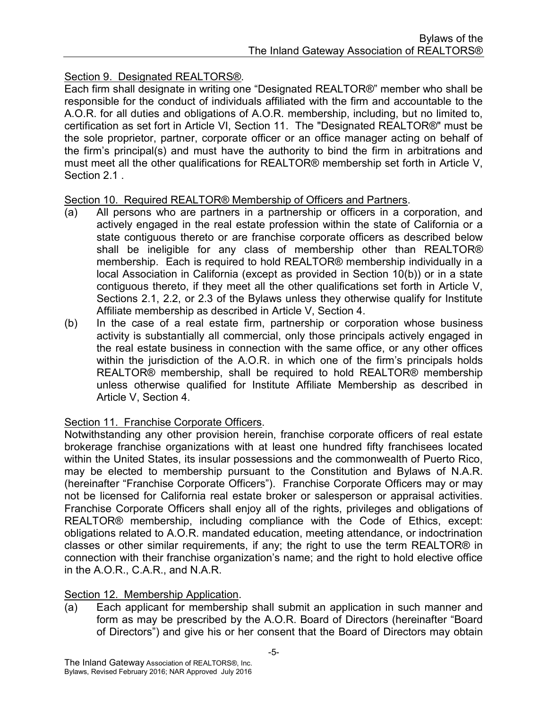#### Section 9. Designated REALTORS®.

Each firm shall designate in writing one "Designated REALTOR®" member who shall be responsible for the conduct of individuals affiliated with the firm and accountable to the A.O.R. for all duties and obligations of A.O.R. membership, including, but no limited to, certification as set fort in Article VI, Section 11. The "Designated REALTOR®" must be the sole proprietor, partner, corporate officer or an office manager acting on behalf of the firm's principal(s) and must have the authority to bind the firm in arbitrations and must meet all the other qualifications for REALTOR® membership set forth in Article V, Section 2.1 .

#### Section 10. Required REALTOR® Membership of Officers and Partners.

- (a) All persons who are partners in a partnership or officers in a corporation, and actively engaged in the real estate profession within the state of California or a state contiguous thereto or are franchise corporate officers as described below shall be ineligible for any class of membership other than REALTOR® membership. Each is required to hold REALTOR® membership individually in a local Association in California (except as provided in Section 10(b)) or in a state contiguous thereto, if they meet all the other qualifications set forth in Article V, Sections 2.1, 2.2, or 2.3 of the Bylaws unless they otherwise qualify for Institute Affiliate membership as described in Article V, Section 4.
- (b) In the case of a real estate firm, partnership or corporation whose business activity is substantially all commercial, only those principals actively engaged in the real estate business in connection with the same office, or any other offices within the jurisdiction of the A.O.R. in which one of the firm's principals holds REALTOR® membership, shall be required to hold REALTOR® membership unless otherwise qualified for Institute Affiliate Membership as described in Article V, Section 4.

#### Section 11. Franchise Corporate Officers.

Notwithstanding any other provision herein, franchise corporate officers of real estate brokerage franchise organizations with at least one hundred fifty franchisees located within the United States, its insular possessions and the commonwealth of Puerto Rico, may be elected to membership pursuant to the Constitution and Bylaws of N.A.R. (hereinafter "Franchise Corporate Officers"). Franchise Corporate Officers may or may not be licensed for California real estate broker or salesperson or appraisal activities. Franchise Corporate Officers shall enjoy all of the rights, privileges and obligations of REALTOR® membership, including compliance with the Code of Ethics, except: obligations related to A.O.R. mandated education, meeting attendance, or indoctrination classes or other similar requirements, if any; the right to use the term REALTOR® in connection with their franchise organization's name; and the right to hold elective office in the A.O.R., C.A.R., and N.A.R.

#### Section 12. Membership Application.

(a) Each applicant for membership shall submit an application in such manner and form as may be prescribed by the A.O.R. Board of Directors (hereinafter "Board of Directors") and give his or her consent that the Board of Directors may obtain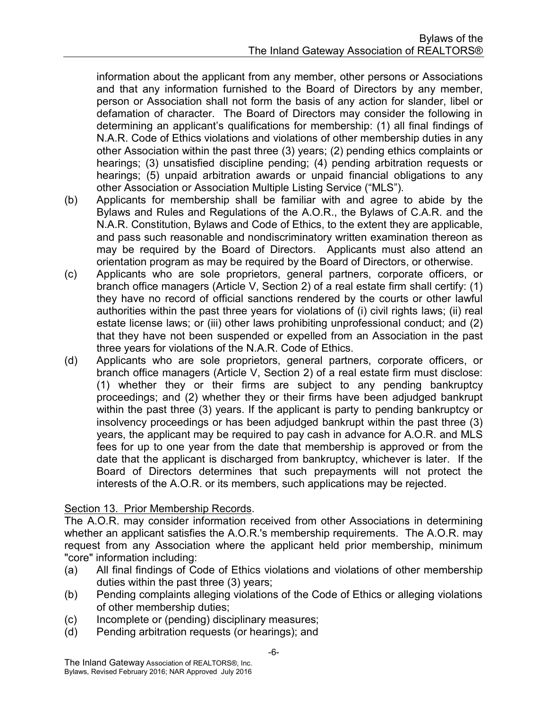information about the applicant from any member, other persons or Associations and that any information furnished to the Board of Directors by any member, person or Association shall not form the basis of any action for slander, libel or defamation of character. The Board of Directors may consider the following in determining an applicant's qualifications for membership: (1) all final findings of N.A.R. Code of Ethics violations and violations of other membership duties in any other Association within the past three (3) years; (2) pending ethics complaints or hearings; (3) unsatisfied discipline pending; (4) pending arbitration requests or hearings; (5) unpaid arbitration awards or unpaid financial obligations to any other Association or Association Multiple Listing Service ("MLS").

- (b) Applicants for membership shall be familiar with and agree to abide by the Bylaws and Rules and Regulations of the A.O.R., the Bylaws of C.A.R. and the N.A.R. Constitution, Bylaws and Code of Ethics, to the extent they are applicable, and pass such reasonable and nondiscriminatory written examination thereon as may be required by the Board of Directors. Applicants must also attend an orientation program as may be required by the Board of Directors, or otherwise.
- (c) Applicants who are sole proprietors, general partners, corporate officers, or branch office managers (Article V, Section 2) of a real estate firm shall certify: (1) they have no record of official sanctions rendered by the courts or other lawful authorities within the past three years for violations of (i) civil rights laws; (ii) real estate license laws; or (iii) other laws prohibiting unprofessional conduct; and (2) that they have not been suspended or expelled from an Association in the past three years for violations of the N.A.R. Code of Ethics.
- (d) Applicants who are sole proprietors, general partners, corporate officers, or branch office managers (Article V, Section 2) of a real estate firm must disclose: (1) whether they or their firms are subject to any pending bankruptcy proceedings; and (2) whether they or their firms have been adjudged bankrupt within the past three (3) years. If the applicant is party to pending bankruptcy or insolvency proceedings or has been adjudged bankrupt within the past three (3) years, the applicant may be required to pay cash in advance for A.O.R. and MLS fees for up to one year from the date that membership is approved or from the date that the applicant is discharged from bankruptcy, whichever is later. If the Board of Directors determines that such prepayments will not protect the interests of the A.O.R. or its members, such applications may be rejected.

#### Section 13. Prior Membership Records.

The A.O.R. may consider information received from other Associations in determining whether an applicant satisfies the A.O.R.'s membership requirements. The A.O.R. may request from any Association where the applicant held prior membership, minimum "core" information including:

- (a) All final findings of Code of Ethics violations and violations of other membership duties within the past three (3) years;
- (b) Pending complaints alleging violations of the Code of Ethics or alleging violations of other membership duties;
- (c) Incomplete or (pending) disciplinary measures;
- (d) Pending arbitration requests (or hearings); and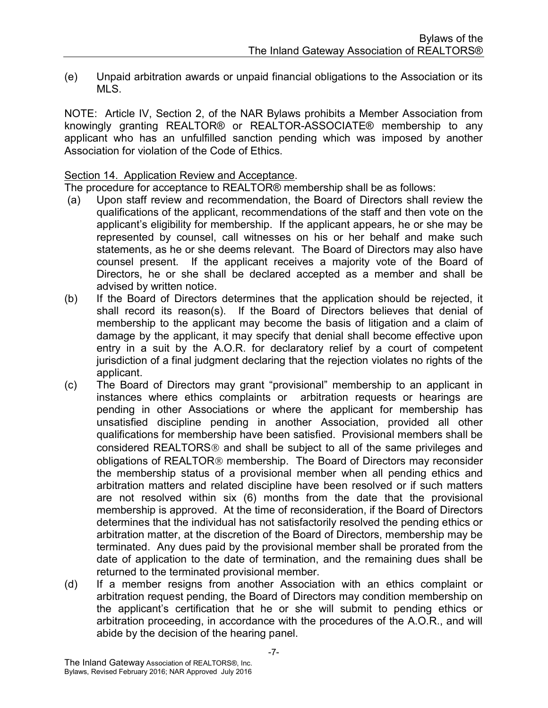(e) Unpaid arbitration awards or unpaid financial obligations to the Association or its MLS.

NOTE: Article IV, Section 2, of the NAR Bylaws prohibits a Member Association from knowingly granting REALTOR® or REALTOR-ASSOCIATE® membership to any applicant who has an unfulfilled sanction pending which was imposed by another Association for violation of the Code of Ethics.

#### Section 14. Application Review and Acceptance.

The procedure for acceptance to REALTOR® membership shall be as follows:

- (a) Upon staff review and recommendation, the Board of Directors shall review the qualifications of the applicant, recommendations of the staff and then vote on the applicant's eligibility for membership. If the applicant appears, he or she may be represented by counsel, call witnesses on his or her behalf and make such statements, as he or she deems relevant. The Board of Directors may also have counsel present. If the applicant receives a majority vote of the Board of Directors, he or she shall be declared accepted as a member and shall be advised by written notice.
- (b) If the Board of Directors determines that the application should be rejected, it shall record its reason(s). If the Board of Directors believes that denial of membership to the applicant may become the basis of litigation and a claim of damage by the applicant, it may specify that denial shall become effective upon entry in a suit by the A.O.R. for declaratory relief by a court of competent jurisdiction of a final judgment declaring that the rejection violates no rights of the applicant.
- (c) The Board of Directors may grant "provisional" membership to an applicant in instances where ethics complaints or arbitration requests or hearings are pending in other Associations or where the applicant for membership has unsatisfied discipline pending in another Association, provided all other qualifications for membership have been satisfied. Provisional members shall be considered REALTORS<sup>®</sup> and shall be subject to all of the same privileges and obligations of REALTOR<sup>®</sup> membership. The Board of Directors may reconsider the membership status of a provisional member when all pending ethics and arbitration matters and related discipline have been resolved or if such matters are not resolved within six (6) months from the date that the provisional membership is approved. At the time of reconsideration, if the Board of Directors determines that the individual has not satisfactorily resolved the pending ethics or arbitration matter, at the discretion of the Board of Directors, membership may be terminated. Any dues paid by the provisional member shall be prorated from the date of application to the date of termination, and the remaining dues shall be returned to the terminated provisional member.
- (d) If a member resigns from another Association with an ethics complaint or arbitration request pending, the Board of Directors may condition membership on the applicant's certification that he or she will submit to pending ethics or arbitration proceeding, in accordance with the procedures of the A.O.R., and will abide by the decision of the hearing panel.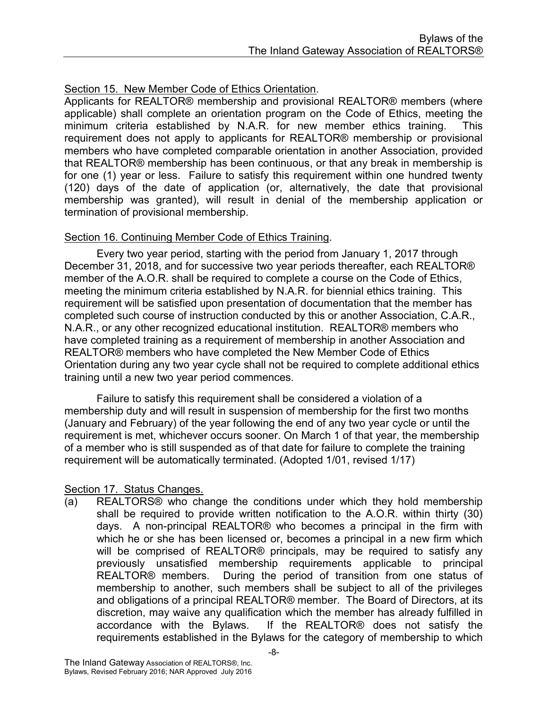#### Section 15. New Member Code of Ethics Orientation.

Applicants for REALTOR® membership and provisional REALTOR® members (where applicable) shall complete an orientation program on the Code of Ethics, meeting the minimum criteria established by N.A.R. for new member ethics training. This requirement does not apply to applicants for REALTOR® membership or provisional members who have completed comparable orientation in another Association, provided that REALTOR® membership has been continuous, or that any break in membership is for one (1) year or less. Failure to satisfy this requirement within one hundred twenty (120) days of the date of application (or, alternatively, the date that provisional membership was granted), will result in denial of the membership application or termination of provisional membership.

#### Section 16. Continuing Member Code of Ethics Training.

Every two year period, starting with the period from January 1, 2017 through December 31, 2018, and for successive two year periods thereafter, each REALTOR® member of the A.O.R. shall be required to complete a course on the Code of Ethics, meeting the minimum criteria established by N.A.R. for biennial ethics training. This requirement will be satisfied upon presentation of documentation that the member has completed such course of instruction conducted by this or another Association, C.A.R., N.A.R., or any other recognized educational institution. REALTOR® members who have completed training as a requirement of membership in another Association and REALTOR® members who have completed the New Member Code of Ethics Orientation during any two year cycle shall not be required to complete additional ethics training until a new two year period commences.

Failure to satisfy this requirement shall be considered a violation of a membership duty and will result in suspension of membership for the first two months (January and February) of the year following the end of any two year cycle or until the requirement is met, whichever occurs sooner. On March 1 of that year, the membership of a member who is still suspended as of that date for failure to complete the training requirement will be automatically terminated. (Adopted 1/01, revised 1/17)

#### Section 17. Status Changes.

(a) REALTORS® who change the conditions under which they hold membership shall be required to provide written notification to the A.O.R. within thirty (30) days. A non-principal REALTOR® who becomes a principal in the firm with which he or she has been licensed or, becomes a principal in a new firm which will be comprised of REALTOR® principals, may be required to satisfy any previously unsatisfied membership requirements applicable to principal REALTOR® members. During the period of transition from one status of membership to another, such members shall be subject to all of the privileges and obligations of a principal REALTOR® member. The Board of Directors, at its discretion, may waive any qualification which the member has already fulfilled in accordance with the Bylaws. If the REALTOR® does not satisfy the requirements established in the Bylaws for the category of membership to which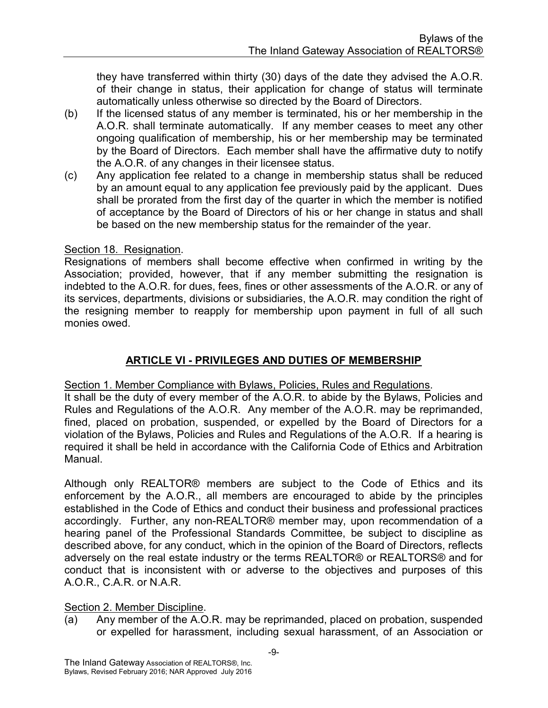they have transferred within thirty (30) days of the date they advised the A.O.R. of their change in status, their application for change of status will terminate automatically unless otherwise so directed by the Board of Directors.

- (b) If the licensed status of any member is terminated, his or her membership in the A.O.R. shall terminate automatically. If any member ceases to meet any other ongoing qualification of membership, his or her membership may be terminated by the Board of Directors. Each member shall have the affirmative duty to notify the A.O.R. of any changes in their licensee status.
- (c) Any application fee related to a change in membership status shall be reduced by an amount equal to any application fee previously paid by the applicant. Dues shall be prorated from the first day of the quarter in which the member is notified of acceptance by the Board of Directors of his or her change in status and shall be based on the new membership status for the remainder of the year.

#### Section 18. Resignation.

Resignations of members shall become effective when confirmed in writing by the Association; provided, however, that if any member submitting the resignation is indebted to the A.O.R. for dues, fees, fines or other assessments of the A.O.R. or any of its services, departments, divisions or subsidiaries, the A.O.R. may condition the right of the resigning member to reapply for membership upon payment in full of all such monies owed.

#### ARTICLE VI - PRIVILEGES AND DUTIES OF MEMBERSHIP

Section 1. Member Compliance with Bylaws, Policies, Rules and Regulations.

It shall be the duty of every member of the A.O.R. to abide by the Bylaws, Policies and Rules and Regulations of the A.O.R. Any member of the A.O.R. may be reprimanded, fined, placed on probation, suspended, or expelled by the Board of Directors for a violation of the Bylaws, Policies and Rules and Regulations of the A.O.R. If a hearing is required it shall be held in accordance with the California Code of Ethics and Arbitration Manual.

Although only REALTOR® members are subject to the Code of Ethics and its enforcement by the A.O.R., all members are encouraged to abide by the principles established in the Code of Ethics and conduct their business and professional practices accordingly. Further, any non-REALTOR® member may, upon recommendation of a hearing panel of the Professional Standards Committee, be subject to discipline as described above, for any conduct, which in the opinion of the Board of Directors, reflects adversely on the real estate industry or the terms REALTOR® or REALTORS® and for conduct that is inconsistent with or adverse to the objectives and purposes of this A.O.R., C.A.R. or N.A.R.

#### Section 2. Member Discipline.

(a) Any member of the A.O.R. may be reprimanded, placed on probation, suspended or expelled for harassment, including sexual harassment, of an Association or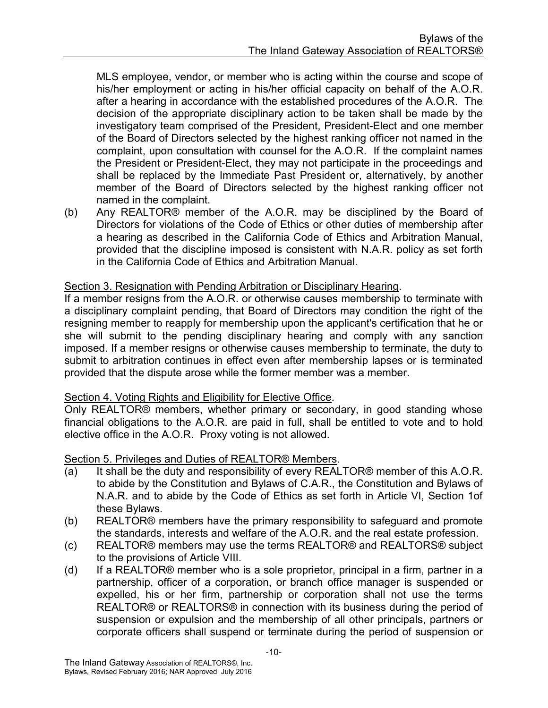MLS employee, vendor, or member who is acting within the course and scope of his/her employment or acting in his/her official capacity on behalf of the A.O.R. after a hearing in accordance with the established procedures of the A.O.R. The decision of the appropriate disciplinary action to be taken shall be made by the investigatory team comprised of the President, President-Elect and one member of the Board of Directors selected by the highest ranking officer not named in the complaint, upon consultation with counsel for the A.O.R. If the complaint names the President or President-Elect, they may not participate in the proceedings and shall be replaced by the Immediate Past President or, alternatively, by another member of the Board of Directors selected by the highest ranking officer not named in the complaint.

(b) Any REALTOR® member of the A.O.R. may be disciplined by the Board of Directors for violations of the Code of Ethics or other duties of membership after a hearing as described in the California Code of Ethics and Arbitration Manual, provided that the discipline imposed is consistent with N.A.R. policy as set forth in the California Code of Ethics and Arbitration Manual.

#### Section 3. Resignation with Pending Arbitration or Disciplinary Hearing.

If a member resigns from the A.O.R. or otherwise causes membership to terminate with a disciplinary complaint pending, that Board of Directors may condition the right of the resigning member to reapply for membership upon the applicant's certification that he or she will submit to the pending disciplinary hearing and comply with any sanction imposed. If a member resigns or otherwise causes membership to terminate, the duty to submit to arbitration continues in effect even after membership lapses or is terminated provided that the dispute arose while the former member was a member.

#### Section 4. Voting Rights and Eligibility for Elective Office.

Only REALTOR® members, whether primary or secondary, in good standing whose financial obligations to the A.O.R. are paid in full, shall be entitled to vote and to hold elective office in the A.O.R. Proxy voting is not allowed.

#### Section 5. Privileges and Duties of REALTOR® Members.

- (a) It shall be the duty and responsibility of every REALTOR® member of this A.O.R. to abide by the Constitution and Bylaws of C.A.R., the Constitution and Bylaws of N.A.R. and to abide by the Code of Ethics as set forth in Article VI, Section 1of these Bylaws.
- (b) REALTOR® members have the primary responsibility to safeguard and promote the standards, interests and welfare of the A.O.R. and the real estate profession.
- (c) REALTOR® members may use the terms REALTOR® and REALTORS® subject to the provisions of Article VIII.
- (d) If a REALTOR® member who is a sole proprietor, principal in a firm, partner in a partnership, officer of a corporation, or branch office manager is suspended or expelled, his or her firm, partnership or corporation shall not use the terms REALTOR® or REALTORS® in connection with its business during the period of suspension or expulsion and the membership of all other principals, partners or corporate officers shall suspend or terminate during the period of suspension or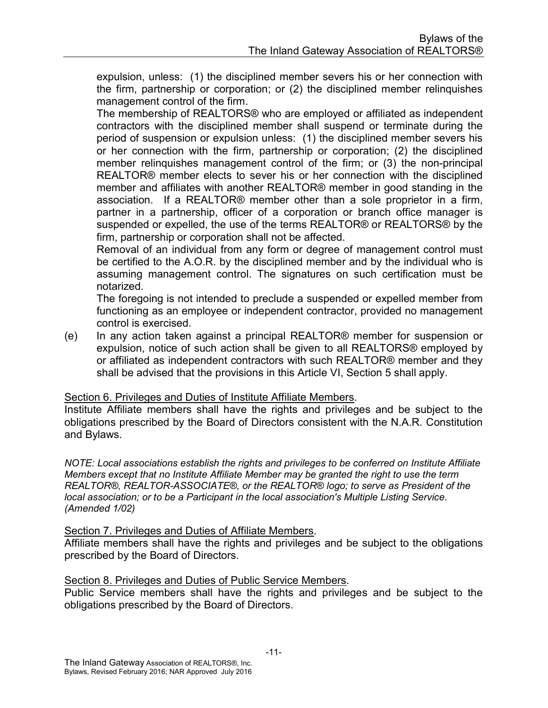expulsion, unless: (1) the disciplined member severs his or her connection with the firm, partnership or corporation; or (2) the disciplined member relinquishes management control of the firm.

 The membership of REALTORS® who are employed or affiliated as independent contractors with the disciplined member shall suspend or terminate during the period of suspension or expulsion unless: (1) the disciplined member severs his or her connection with the firm, partnership or corporation; (2) the disciplined member relinquishes management control of the firm; or (3) the non-principal REALTOR® member elects to sever his or her connection with the disciplined member and affiliates with another REALTOR® member in good standing in the association. If a REALTOR® member other than a sole proprietor in a firm, partner in a partnership, officer of a corporation or branch office manager is suspended or expelled, the use of the terms REALTOR® or REALTORS® by the firm, partnership or corporation shall not be affected.

 Removal of an individual from any form or degree of management control must be certified to the A.O.R. by the disciplined member and by the individual who is assuming management control. The signatures on such certification must be notarized.

 The foregoing is not intended to preclude a suspended or expelled member from functioning as an employee or independent contractor, provided no management control is exercised.

(e) In any action taken against a principal REALTOR® member for suspension or expulsion, notice of such action shall be given to all REALTORS® employed by or affiliated as independent contractors with such REALTOR® member and they shall be advised that the provisions in this Article VI, Section 5 shall apply.

#### Section 6. Privileges and Duties of Institute Affiliate Members.

Institute Affiliate members shall have the rights and privileges and be subject to the obligations prescribed by the Board of Directors consistent with the N.A.R. Constitution and Bylaws.

NOTE: Local associations establish the rights and privileges to be conferred on Institute Affiliate Members except that no Institute Affiliate Member may be granted the right to use the term REALTOR®, REALTOR-ASSOCIATE®, or the REALTOR® logo; to serve as President of the local association; or to be a Participant in the local association's Multiple Listing Service. (Amended 1/02)

#### Section 7. Privileges and Duties of Affiliate Members.

Affiliate members shall have the rights and privileges and be subject to the obligations prescribed by the Board of Directors.

#### Section 8. Privileges and Duties of Public Service Members.

Public Service members shall have the rights and privileges and be subject to the obligations prescribed by the Board of Directors.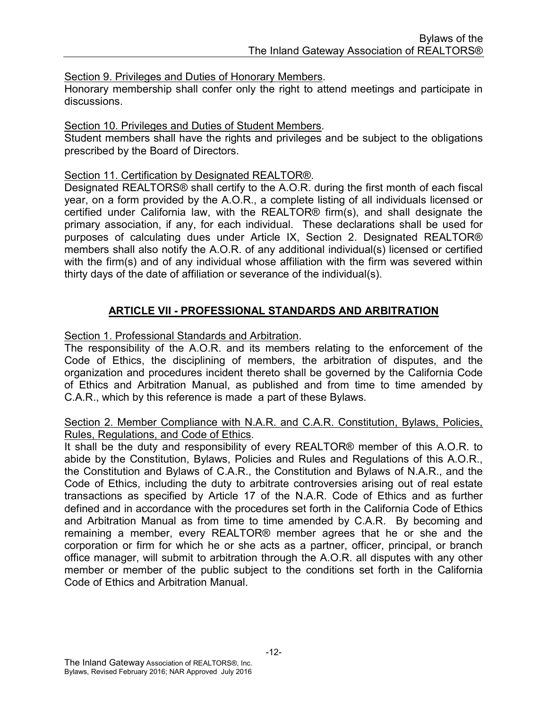Section 9. Privileges and Duties of Honorary Members.

Honorary membership shall confer only the right to attend meetings and participate in discussions.

#### Section 10. Privileges and Duties of Student Members.

Student members shall have the rights and privileges and be subject to the obligations prescribed by the Board of Directors.

#### Section 11. Certification by Designated REALTOR®.

Designated REALTORS® shall certify to the A.O.R. during the first month of each fiscal year, on a form provided by the A.O.R., a complete listing of all individuals licensed or certified under California law, with the REALTOR® firm(s), and shall designate the primary association, if any, for each individual. These declarations shall be used for purposes of calculating dues under Article IX, Section 2. Designated REALTOR® members shall also notify the A.O.R. of any additional individual(s) licensed or certified with the firm(s) and of any individual whose affiliation with the firm was severed within thirty days of the date of affiliation or severance of the individual(s).

#### ARTICLE VII - PROFESSIONAL STANDARDS AND ARBITRATION

Section 1. Professional Standards and Arbitration.

The responsibility of the A.O.R. and its members relating to the enforcement of the Code of Ethics, the disciplining of members, the arbitration of disputes, and the organization and procedures incident thereto shall be governed by the California Code of Ethics and Arbitration Manual, as published and from time to time amended by C.A.R., which by this reference is made a part of these Bylaws.

#### Section 2. Member Compliance with N.A.R. and C.A.R. Constitution, Bylaws, Policies, Rules, Regulations, and Code of Ethics.

It shall be the duty and responsibility of every REALTOR® member of this A.O.R. to abide by the Constitution, Bylaws, Policies and Rules and Regulations of this A.O.R., the Constitution and Bylaws of C.A.R., the Constitution and Bylaws of N.A.R., and the Code of Ethics, including the duty to arbitrate controversies arising out of real estate transactions as specified by Article 17 of the N.A.R. Code of Ethics and as further defined and in accordance with the procedures set forth in the California Code of Ethics and Arbitration Manual as from time to time amended by C.A.R. By becoming and remaining a member, every REALTOR® member agrees that he or she and the corporation or firm for which he or she acts as a partner, officer, principal, or branch office manager, will submit to arbitration through the A.O.R. all disputes with any other member or member of the public subject to the conditions set forth in the California Code of Ethics and Arbitration Manual.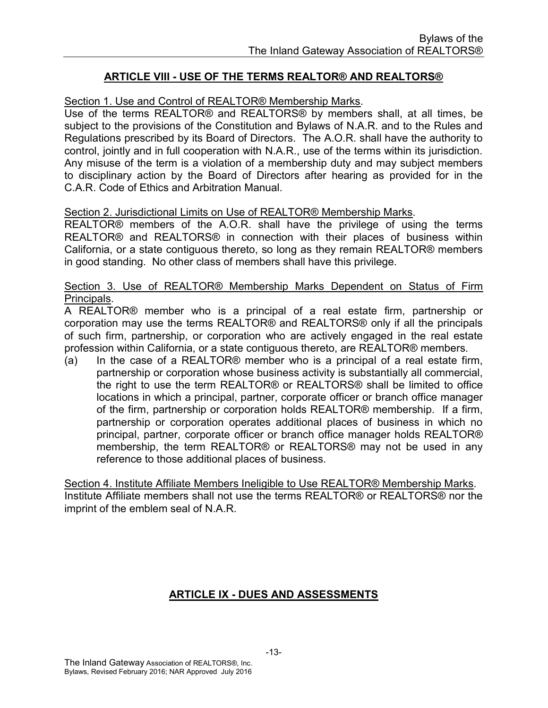#### ARTICLE VIII - USE OF THE TERMS REALTOR® AND REALTORS®

#### Section 1. Use and Control of REALTOR® Membership Marks.

Use of the terms REALTOR® and REALTORS® by members shall, at all times, be subject to the provisions of the Constitution and Bylaws of N.A.R. and to the Rules and Regulations prescribed by its Board of Directors. The A.O.R. shall have the authority to control, jointly and in full cooperation with N.A.R., use of the terms within its jurisdiction. Any misuse of the term is a violation of a membership duty and may subject members to disciplinary action by the Board of Directors after hearing as provided for in the C.A.R. Code of Ethics and Arbitration Manual.

#### Section 2. Jurisdictional Limits on Use of REALTOR® Membership Marks.

REALTOR® members of the A.O.R. shall have the privilege of using the terms REALTOR® and REALTORS® in connection with their places of business within California, or a state contiguous thereto, so long as they remain REALTOR® members in good standing. No other class of members shall have this privilege.

#### Section 3. Use of REALTOR® Membership Marks Dependent on Status of Firm Principals.

A REALTOR® member who is a principal of a real estate firm, partnership or corporation may use the terms REALTOR® and REALTORS® only if all the principals of such firm, partnership, or corporation who are actively engaged in the real estate profession within California, or a state contiguous thereto, are REALTOR® members.

(a) In the case of a REALTOR® member who is a principal of a real estate firm, partnership or corporation whose business activity is substantially all commercial, the right to use the term REALTOR® or REALTORS® shall be limited to office locations in which a principal, partner, corporate officer or branch office manager of the firm, partnership or corporation holds REALTOR® membership. If a firm, partnership or corporation operates additional places of business in which no principal, partner, corporate officer or branch office manager holds REALTOR® membership, the term REALTOR® or REALTORS® may not be used in any reference to those additional places of business.

Section 4. Institute Affiliate Members Ineligible to Use REALTOR® Membership Marks. Institute Affiliate members shall not use the terms REALTOR® or REALTORS® nor the imprint of the emblem seal of N.A.R.

#### ARTICLE IX - DUES AND ASSESSMENTS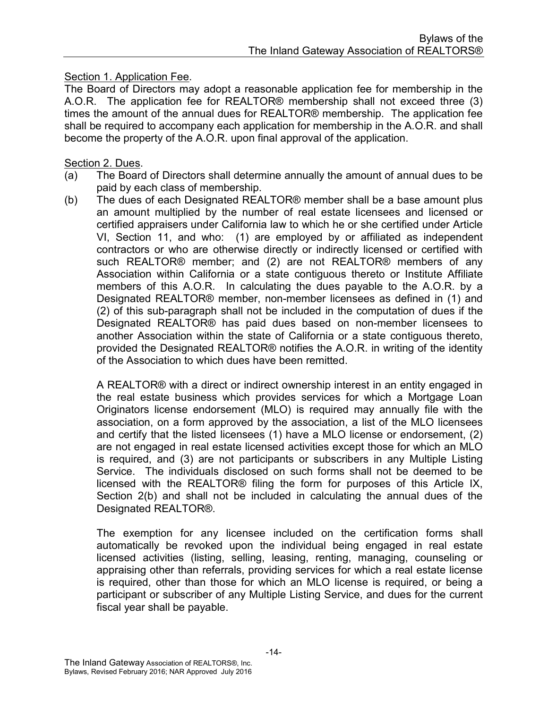Section 1. Application Fee.

The Board of Directors may adopt a reasonable application fee for membership in the A.O.R. The application fee for REALTOR® membership shall not exceed three (3) times the amount of the annual dues for REALTOR® membership. The application fee shall be required to accompany each application for membership in the A.O.R. and shall become the property of the A.O.R. upon final approval of the application.

#### Section 2. Dues.

- (a) The Board of Directors shall determine annually the amount of annual dues to be paid by each class of membership.
- (b) The dues of each Designated REALTOR® member shall be a base amount plus an amount multiplied by the number of real estate licensees and licensed or certified appraisers under California law to which he or she certified under Article VI, Section 11, and who: (1) are employed by or affiliated as independent contractors or who are otherwise directly or indirectly licensed or certified with such REALTOR® member; and (2) are not REALTOR® members of any Association within California or a state contiguous thereto or Institute Affiliate members of this A.O.R. In calculating the dues payable to the A.O.R. by a Designated REALTOR® member, non-member licensees as defined in (1) and (2) of this sub-paragraph shall not be included in the computation of dues if the Designated REALTOR® has paid dues based on non-member licensees to another Association within the state of California or a state contiguous thereto, provided the Designated REALTOR® notifies the A.O.R. in writing of the identity of the Association to which dues have been remitted.

 A REALTOR® with a direct or indirect ownership interest in an entity engaged in the real estate business which provides services for which a Mortgage Loan Originators license endorsement (MLO) is required may annually file with the association, on a form approved by the association, a list of the MLO licensees and certify that the listed licensees (1) have a MLO license or endorsement, (2) are not engaged in real estate licensed activities except those for which an MLO is required, and (3) are not participants or subscribers in any Multiple Listing Service. The individuals disclosed on such forms shall not be deemed to be licensed with the REALTOR® filing the form for purposes of this Article IX, Section 2(b) and shall not be included in calculating the annual dues of the Designated REALTOR®.

The exemption for any licensee included on the certification forms shall automatically be revoked upon the individual being engaged in real estate licensed activities (listing, selling, leasing, renting, managing, counseling or appraising other than referrals, providing services for which a real estate license is required, other than those for which an MLO license is required, or being a participant or subscriber of any Multiple Listing Service, and dues for the current fiscal year shall be payable.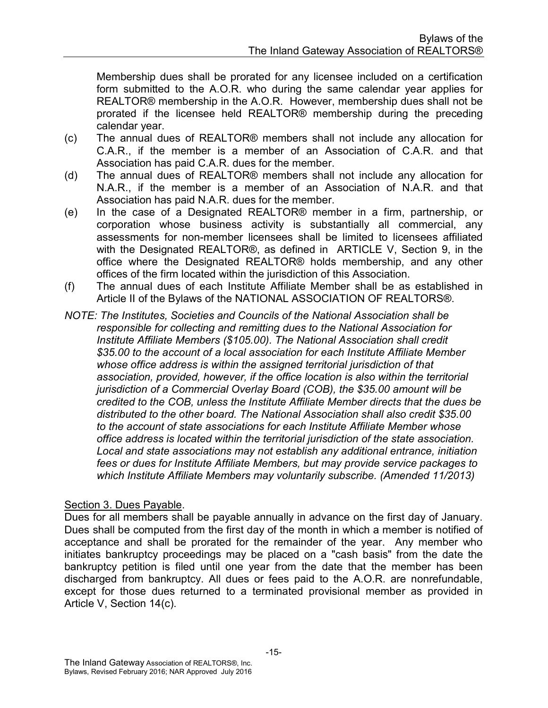Membership dues shall be prorated for any licensee included on a certification form submitted to the A.O.R. who during the same calendar year applies for REALTOR® membership in the A.O.R. However, membership dues shall not be prorated if the licensee held REALTOR® membership during the preceding calendar year.

- (c) The annual dues of REALTOR® members shall not include any allocation for C.A.R., if the member is a member of an Association of C.A.R. and that Association has paid C.A.R. dues for the member.
- (d) The annual dues of REALTOR® members shall not include any allocation for N.A.R., if the member is a member of an Association of N.A.R. and that Association has paid N.A.R. dues for the member.
- (e) In the case of a Designated REALTOR® member in a firm, partnership, or corporation whose business activity is substantially all commercial, any assessments for non-member licensees shall be limited to licensees affiliated with the Designated REALTOR®, as defined in ARTICLE V, Section 9, in the office where the Designated REALTOR® holds membership, and any other offices of the firm located within the jurisdiction of this Association.
- (f) The annual dues of each Institute Affiliate Member shall be as established in Article II of the Bylaws of the NATIONAL ASSOCIATION OF REALTORS®.
- NOTE: The Institutes, Societies and Councils of the National Association shall be responsible for collecting and remitting dues to the National Association for Institute Affiliate Members (\$105.00). The National Association shall credit \$35.00 to the account of a local association for each Institute Affiliate Member whose office address is within the assigned territorial jurisdiction of that association, provided, however, if the office location is also within the territorial jurisdiction of a Commercial Overlay Board (COB), the \$35.00 amount will be credited to the COB, unless the Institute Affiliate Member directs that the dues be distributed to the other board. The National Association shall also credit \$35.00 to the account of state associations for each Institute Affiliate Member whose office address is located within the territorial jurisdiction of the state association. Local and state associations may not establish any additional entrance, initiation fees or dues for Institute Affiliate Members, but may provide service packages to which Institute Affiliate Members may voluntarily subscribe. (Amended 11/2013)

#### Section 3. Dues Payable.

Dues for all members shall be payable annually in advance on the first day of January. Dues shall be computed from the first day of the month in which a member is notified of acceptance and shall be prorated for the remainder of the year. Any member who initiates bankruptcy proceedings may be placed on a "cash basis" from the date the bankruptcy petition is filed until one year from the date that the member has been discharged from bankruptcy. All dues or fees paid to the A.O.R. are nonrefundable, except for those dues returned to a terminated provisional member as provided in Article V, Section 14(c).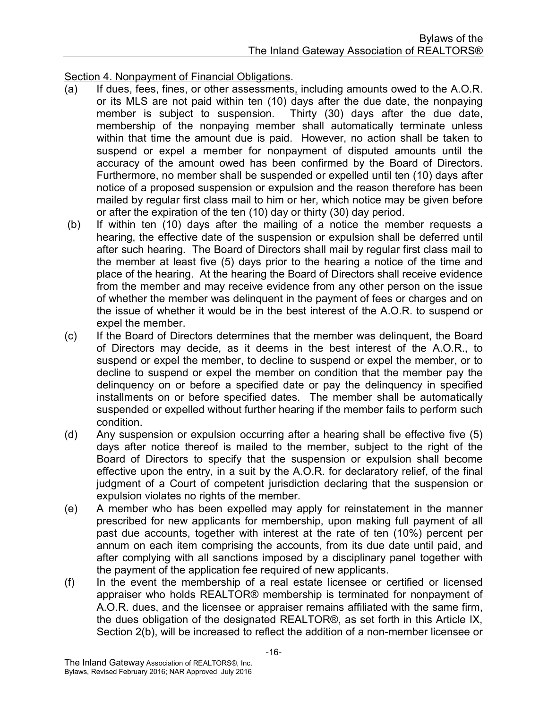Section 4. Nonpayment of Financial Obligations.

- (a) If dues, fees, fines, or other assessments, including amounts owed to the A.O.R. or its MLS are not paid within ten (10) days after the due date, the nonpaying member is subject to suspension. Thirty (30) days after the due date, membership of the nonpaying member shall automatically terminate unless within that time the amount due is paid. However, no action shall be taken to suspend or expel a member for nonpayment of disputed amounts until the accuracy of the amount owed has been confirmed by the Board of Directors. Furthermore, no member shall be suspended or expelled until ten (10) days after notice of a proposed suspension or expulsion and the reason therefore has been mailed by regular first class mail to him or her, which notice may be given before or after the expiration of the ten (10) day or thirty (30) day period.
- (b) If within ten (10) days after the mailing of a notice the member requests a hearing, the effective date of the suspension or expulsion shall be deferred until after such hearing. The Board of Directors shall mail by regular first class mail to the member at least five (5) days prior to the hearing a notice of the time and place of the hearing. At the hearing the Board of Directors shall receive evidence from the member and may receive evidence from any other person on the issue of whether the member was delinquent in the payment of fees or charges and on the issue of whether it would be in the best interest of the A.O.R. to suspend or expel the member.
- (c) If the Board of Directors determines that the member was delinquent, the Board of Directors may decide, as it deems in the best interest of the A.O.R., to suspend or expel the member, to decline to suspend or expel the member, or to decline to suspend or expel the member on condition that the member pay the delinquency on or before a specified date or pay the delinquency in specified installments on or before specified dates. The member shall be automatically suspended or expelled without further hearing if the member fails to perform such condition.
- (d) Any suspension or expulsion occurring after a hearing shall be effective five (5) days after notice thereof is mailed to the member, subject to the right of the Board of Directors to specify that the suspension or expulsion shall become effective upon the entry, in a suit by the A.O.R. for declaratory relief, of the final judgment of a Court of competent jurisdiction declaring that the suspension or expulsion violates no rights of the member.
- (e) A member who has been expelled may apply for reinstatement in the manner prescribed for new applicants for membership, upon making full payment of all past due accounts, together with interest at the rate of ten (10%) percent per annum on each item comprising the accounts, from its due date until paid, and after complying with all sanctions imposed by a disciplinary panel together with the payment of the application fee required of new applicants.
- (f) In the event the membership of a real estate licensee or certified or licensed appraiser who holds REALTOR® membership is terminated for nonpayment of A.O.R. dues, and the licensee or appraiser remains affiliated with the same firm, the dues obligation of the designated REALTOR®, as set forth in this Article IX, Section 2(b), will be increased to reflect the addition of a non-member licensee or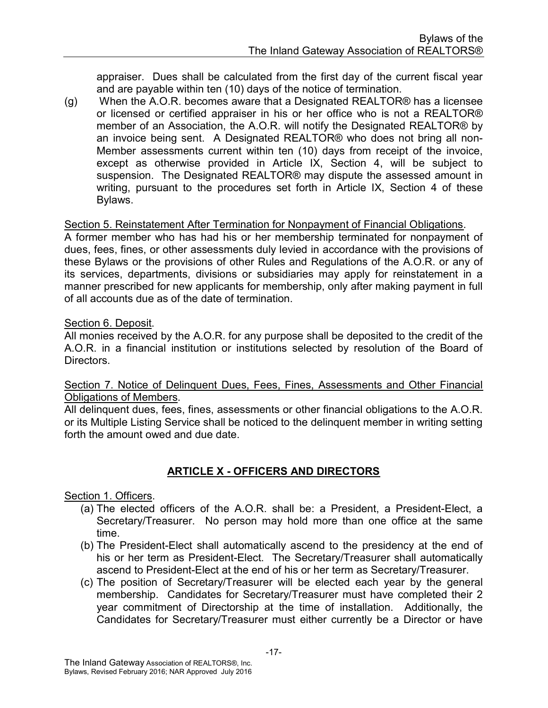appraiser. Dues shall be calculated from the first day of the current fiscal year and are payable within ten (10) days of the notice of termination.

(g) When the A.O.R. becomes aware that a Designated REALTOR® has a licensee or licensed or certified appraiser in his or her office who is not a REALTOR® member of an Association, the A.O.R. will notify the Designated REALTOR® by an invoice being sent. A Designated REALTOR® who does not bring all non-Member assessments current within ten (10) days from receipt of the invoice, except as otherwise provided in Article IX, Section 4, will be subject to suspension. The Designated REALTOR® may dispute the assessed amount in writing, pursuant to the procedures set forth in Article IX, Section 4 of these Bylaws.

#### Section 5. Reinstatement After Termination for Nonpayment of Financial Obligations.

A former member who has had his or her membership terminated for nonpayment of dues, fees, fines, or other assessments duly levied in accordance with the provisions of these Bylaws or the provisions of other Rules and Regulations of the A.O.R. or any of its services, departments, divisions or subsidiaries may apply for reinstatement in a manner prescribed for new applicants for membership, only after making payment in full of all accounts due as of the date of termination.

#### Section 6. Deposit.

All monies received by the A.O.R. for any purpose shall be deposited to the credit of the A.O.R. in a financial institution or institutions selected by resolution of the Board of Directors.

Section 7. Notice of Delinquent Dues, Fees, Fines, Assessments and Other Financial Obligations of Members.

All delinquent dues, fees, fines, assessments or other financial obligations to the A.O.R. or its Multiple Listing Service shall be noticed to the delinquent member in writing setting forth the amount owed and due date

#### ARTICLE X - OFFICERS AND DIRECTORS

#### Section 1. Officers.

- (a) The elected officers of the A.O.R. shall be: a President, a President-Elect, a Secretary/Treasurer. No person may hold more than one office at the same time.
- (b) The President-Elect shall automatically ascend to the presidency at the end of his or her term as President-Elect. The Secretary/Treasurer shall automatically ascend to President-Elect at the end of his or her term as Secretary/Treasurer.
- (c) The position of Secretary/Treasurer will be elected each year by the general membership. Candidates for Secretary/Treasurer must have completed their 2 year commitment of Directorship at the time of installation. Additionally, the Candidates for Secretary/Treasurer must either currently be a Director or have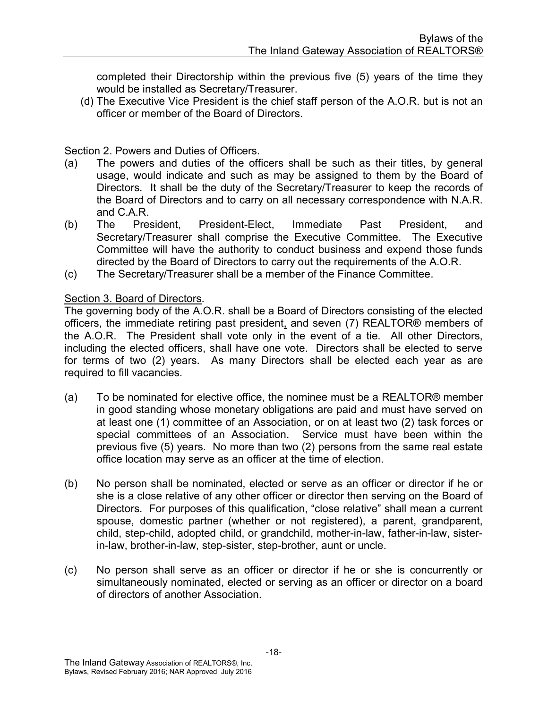completed their Directorship within the previous five (5) years of the time they would be installed as Secretary/Treasurer.

(d) The Executive Vice President is the chief staff person of the A.O.R. but is not an officer or member of the Board of Directors.

#### Section 2. Powers and Duties of Officers.

- (a) The powers and duties of the officers shall be such as their titles, by general usage, would indicate and such as may be assigned to them by the Board of Directors. It shall be the duty of the Secretary/Treasurer to keep the records of the Board of Directors and to carry on all necessary correspondence with N.A.R. and C.A.R.
- (b) The President, President-Elect, Immediate Past President, and Secretary/Treasurer shall comprise the Executive Committee. The Executive Committee will have the authority to conduct business and expend those funds directed by the Board of Directors to carry out the requirements of the A.O.R.
- (c) The Secretary/Treasurer shall be a member of the Finance Committee.

#### Section 3. Board of Directors.

The governing body of the A.O.R. shall be a Board of Directors consisting of the elected officers, the immediate retiring past president, and seven (7) REALTOR® members of the A.O.R. The President shall vote only in the event of a tie. All other Directors, including the elected officers, shall have one vote. Directors shall be elected to serve for terms of two (2) years. As many Directors shall be elected each year as are required to fill vacancies.

- (a) To be nominated for elective office, the nominee must be a REALTOR® member in good standing whose monetary obligations are paid and must have served on at least one (1) committee of an Association, or on at least two (2) task forces or special committees of an Association. Service must have been within the previous five (5) years. No more than two (2) persons from the same real estate office location may serve as an officer at the time of election.
- (b) No person shall be nominated, elected or serve as an officer or director if he or she is a close relative of any other officer or director then serving on the Board of Directors. For purposes of this qualification, "close relative" shall mean a current spouse, domestic partner (whether or not registered), a parent, grandparent, child, step-child, adopted child, or grandchild, mother-in-law, father-in-law, sisterin-law, brother-in-law, step-sister, step-brother, aunt or uncle.
- (c) No person shall serve as an officer or director if he or she is concurrently or simultaneously nominated, elected or serving as an officer or director on a board of directors of another Association.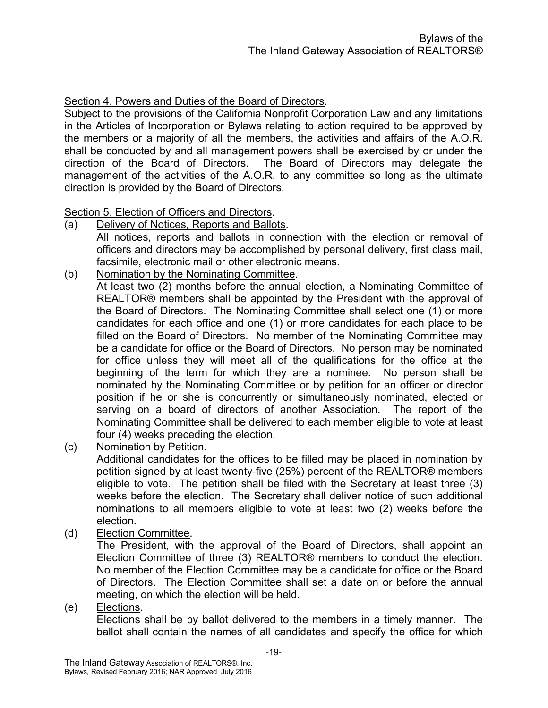#### Section 4. Powers and Duties of the Board of Directors.

Subject to the provisions of the California Nonprofit Corporation Law and any limitations in the Articles of Incorporation or Bylaws relating to action required to be approved by the members or a majority of all the members, the activities and affairs of the A.O.R. shall be conducted by and all management powers shall be exercised by or under the direction of the Board of Directors. The Board of Directors may delegate the management of the activities of the A.O.R. to any committee so long as the ultimate direction is provided by the Board of Directors.

#### Section 5. Election of Officers and Directors.

- (a) Delivery of Notices, Reports and Ballots. All notices, reports and ballots in connection with the election or removal of officers and directors may be accomplished by personal delivery, first class mail,
- facsimile, electronic mail or other electronic means.
- (b) Nomination by the Nominating Committee.

 At least two (2) months before the annual election, a Nominating Committee of REALTOR® members shall be appointed by the President with the approval of the Board of Directors. The Nominating Committee shall select one (1) or more candidates for each office and one (1) or more candidates for each place to be filled on the Board of Directors. No member of the Nominating Committee may be a candidate for office or the Board of Directors. No person may be nominated for office unless they will meet all of the qualifications for the office at the beginning of the term for which they are a nominee. No person shall be nominated by the Nominating Committee or by petition for an officer or director position if he or she is concurrently or simultaneously nominated, elected or serving on a board of directors of another Association. The report of the Nominating Committee shall be delivered to each member eligible to vote at least four (4) weeks preceding the election.

(c) Nomination by Petition.

 Additional candidates for the offices to be filled may be placed in nomination by petition signed by at least twenty-five (25%) percent of the REALTOR® members eligible to vote. The petition shall be filed with the Secretary at least three (3) weeks before the election. The Secretary shall deliver notice of such additional nominations to all members eligible to vote at least two (2) weeks before the election.

(d) Election Committee.

 The President, with the approval of the Board of Directors, shall appoint an Election Committee of three (3) REALTOR® members to conduct the election. No member of the Election Committee may be a candidate for office or the Board of Directors. The Election Committee shall set a date on or before the annual meeting, on which the election will be held.

#### (e) Elections.

 Elections shall be by ballot delivered to the members in a timely manner. The ballot shall contain the names of all candidates and specify the office for which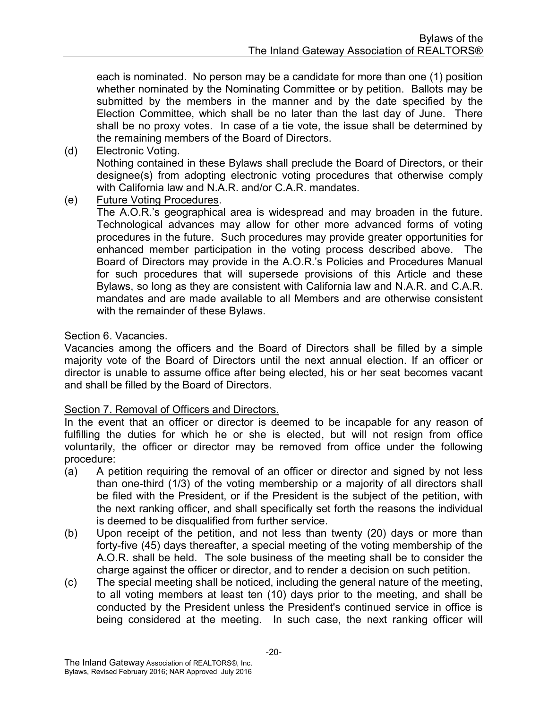each is nominated. No person may be a candidate for more than one (1) position whether nominated by the Nominating Committee or by petition. Ballots may be submitted by the members in the manner and by the date specified by the Election Committee, which shall be no later than the last day of June. There shall be no proxy votes. In case of a tie vote, the issue shall be determined by the remaining members of the Board of Directors.

#### (d) Electronic Voting.

Nothing contained in these Bylaws shall preclude the Board of Directors, or their designee(s) from adopting electronic voting procedures that otherwise comply with California law and N.A.R. and/or C.A.R. mandates.

(e) Future Voting Procedures.

The A.O.R.'s geographical area is widespread and may broaden in the future. Technological advances may allow for other more advanced forms of voting procedures in the future. Such procedures may provide greater opportunities for enhanced member participation in the voting process described above. The Board of Directors may provide in the A.O.R.'s Policies and Procedures Manual for such procedures that will supersede provisions of this Article and these Bylaws, so long as they are consistent with California law and N.A.R. and C.A.R. mandates and are made available to all Members and are otherwise consistent with the remainder of these Bylaws.

#### Section 6. Vacancies.

Vacancies among the officers and the Board of Directors shall be filled by a simple majority vote of the Board of Directors until the next annual election. If an officer or director is unable to assume office after being elected, his or her seat becomes vacant and shall be filled by the Board of Directors.

#### Section 7. Removal of Officers and Directors.

In the event that an officer or director is deemed to be incapable for any reason of fulfilling the duties for which he or she is elected, but will not resign from office voluntarily, the officer or director may be removed from office under the following procedure:

- (a) A petition requiring the removal of an officer or director and signed by not less than one-third (1/3) of the voting membership or a majority of all directors shall be filed with the President, or if the President is the subject of the petition, with the next ranking officer, and shall specifically set forth the reasons the individual is deemed to be disqualified from further service.
- (b) Upon receipt of the petition, and not less than twenty (20) days or more than forty-five (45) days thereafter, a special meeting of the voting membership of the A.O.R. shall be held. The sole business of the meeting shall be to consider the charge against the officer or director, and to render a decision on such petition.
- (c) The special meeting shall be noticed, including the general nature of the meeting, to all voting members at least ten (10) days prior to the meeting, and shall be conducted by the President unless the President's continued service in office is being considered at the meeting. In such case, the next ranking officer will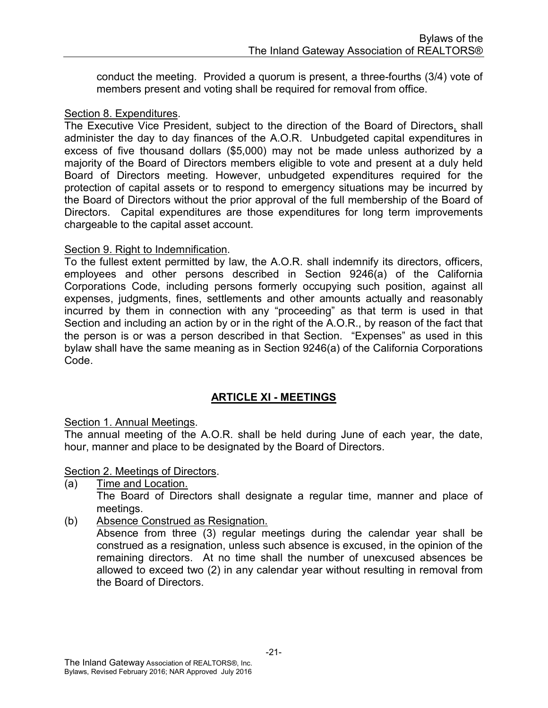conduct the meeting. Provided a quorum is present, a three-fourths (3/4) vote of members present and voting shall be required for removal from office.

#### Section 8. Expenditures.

The Executive Vice President, subject to the direction of the Board of Directors, shall administer the day to day finances of the A.O.R. Unbudgeted capital expenditures in excess of five thousand dollars (\$5,000) may not be made unless authorized by a majority of the Board of Directors members eligible to vote and present at a duly held Board of Directors meeting. However, unbudgeted expenditures required for the protection of capital assets or to respond to emergency situations may be incurred by the Board of Directors without the prior approval of the full membership of the Board of Directors. Capital expenditures are those expenditures for long term improvements chargeable to the capital asset account.

#### Section 9. Right to Indemnification.

To the fullest extent permitted by law, the A.O.R. shall indemnify its directors, officers, employees and other persons described in Section 9246(a) of the California Corporations Code, including persons formerly occupying such position, against all expenses, judgments, fines, settlements and other amounts actually and reasonably incurred by them in connection with any "proceeding" as that term is used in that Section and including an action by or in the right of the A.O.R., by reason of the fact that the person is or was a person described in that Section. "Expenses" as used in this bylaw shall have the same meaning as in Section 9246(a) of the California Corporations Code.

#### ARTICLE XI - MEETINGS

Section 1. Annual Meetings.

The annual meeting of the A.O.R. shall be held during June of each year, the date, hour, manner and place to be designated by the Board of Directors.

Section 2. Meetings of Directors.

- (a) Time and Location. The Board of Directors shall designate a regular time, manner and place of meetings.
- (b) Absence Construed as Resignation.

 Absence from three (3) regular meetings during the calendar year shall be construed as a resignation, unless such absence is excused, in the opinion of the remaining directors. At no time shall the number of unexcused absences be allowed to exceed two (2) in any calendar year without resulting in removal from the Board of Directors.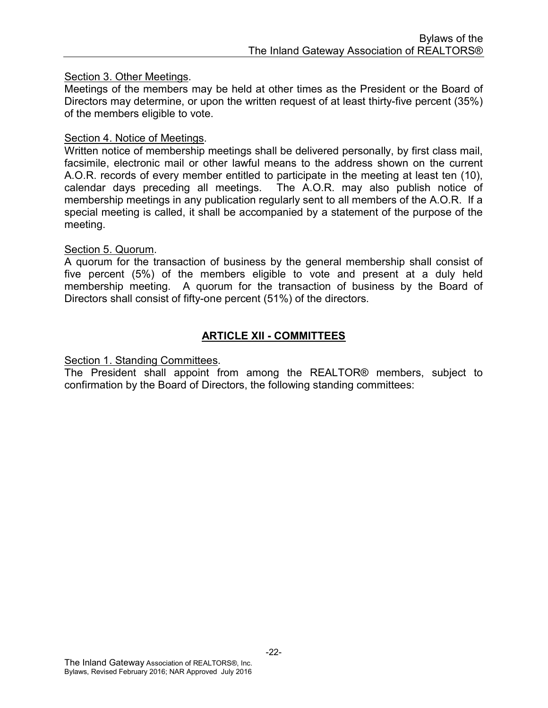#### Section 3. Other Meetings.

Meetings of the members may be held at other times as the President or the Board of Directors may determine, or upon the written request of at least thirty-five percent (35%) of the members eligible to vote.

#### Section 4. Notice of Meetings.

Written notice of membership meetings shall be delivered personally, by first class mail, facsimile, electronic mail or other lawful means to the address shown on the current A.O.R. records of every member entitled to participate in the meeting at least ten (10), calendar days preceding all meetings. The A.O.R. may also publish notice of membership meetings in any publication regularly sent to all members of the A.O.R. If a special meeting is called, it shall be accompanied by a statement of the purpose of the meeting.

#### Section 5. Quorum.

A quorum for the transaction of business by the general membership shall consist of five percent (5%) of the members eligible to vote and present at a duly held membership meeting. A quorum for the transaction of business by the Board of Directors shall consist of fifty-one percent (51%) of the directors.

#### ARTICLE XII - COMMITTEES

#### Section 1. Standing Committees.

The President shall appoint from among the REALTOR® members, subject to confirmation by the Board of Directors, the following standing committees: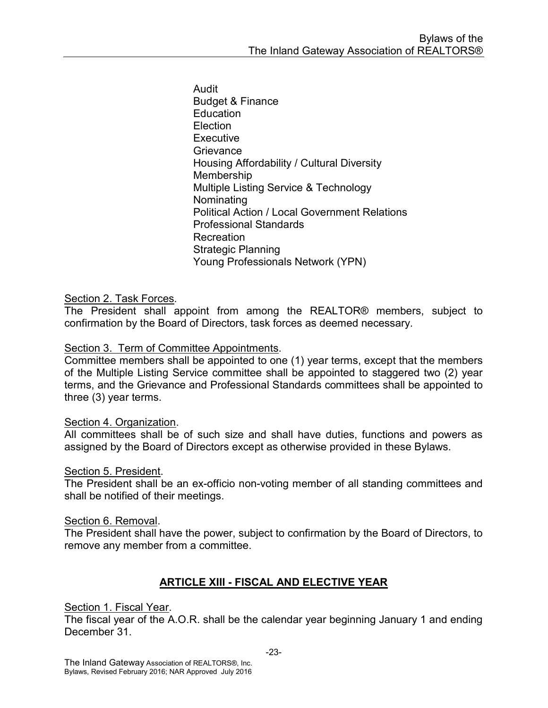Audit Budget & Finance **Education** Election **Executive Grievance** Housing Affordability / Cultural Diversity Membership Multiple Listing Service & Technology Nominating Political Action / Local Government Relations Professional Standards **Recreation** Strategic Planning Young Professionals Network (YPN)

#### Section 2. Task Forces.

The President shall appoint from among the REALTOR® members, subject to confirmation by the Board of Directors, task forces as deemed necessary.

#### Section 3. Term of Committee Appointments.

Committee members shall be appointed to one (1) year terms, except that the members of the Multiple Listing Service committee shall be appointed to staggered two (2) year terms, and the Grievance and Professional Standards committees shall be appointed to three (3) year terms.

#### Section 4. Organization.

All committees shall be of such size and shall have duties, functions and powers as assigned by the Board of Directors except as otherwise provided in these Bylaws.

#### Section 5. President.

The President shall be an ex-officio non-voting member of all standing committees and shall be notified of their meetings.

#### Section 6. Removal.

The President shall have the power, subject to confirmation by the Board of Directors, to remove any member from a committee.

#### ARTICLE XIII - FISCAL AND ELECTIVE YEAR

Section 1. Fiscal Year.

The fiscal year of the A.O.R. shall be the calendar year beginning January 1 and ending December 31.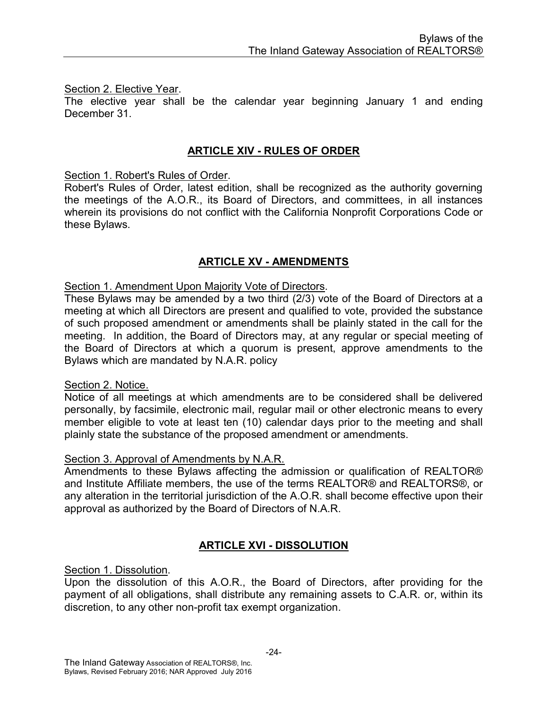#### Section 2. Elective Year.

The elective year shall be the calendar year beginning January 1 and ending December 31.

#### ARTICLE XIV - RULES OF ORDER

Section 1. Robert's Rules of Order.

Robert's Rules of Order, latest edition, shall be recognized as the authority governing the meetings of the A.O.R., its Board of Directors, and committees, in all instances wherein its provisions do not conflict with the California Nonprofit Corporations Code or these Bylaws.

#### ARTICLE XV - AMENDMENTS

#### Section 1. Amendment Upon Majority Vote of Directors.

These Bylaws may be amended by a two third (2/3) vote of the Board of Directors at a meeting at which all Directors are present and qualified to vote, provided the substance of such proposed amendment or amendments shall be plainly stated in the call for the meeting. In addition, the Board of Directors may, at any regular or special meeting of the Board of Directors at which a quorum is present, approve amendments to the Bylaws which are mandated by N.A.R. policy

#### Section 2. Notice.

Notice of all meetings at which amendments are to be considered shall be delivered personally, by facsimile, electronic mail, regular mail or other electronic means to every member eligible to vote at least ten (10) calendar days prior to the meeting and shall plainly state the substance of the proposed amendment or amendments.

#### Section 3. Approval of Amendments by N.A.R.

Amendments to these Bylaws affecting the admission or qualification of REALTOR® and Institute Affiliate members, the use of the terms REALTOR® and REALTORS®, or any alteration in the territorial jurisdiction of the A.O.R. shall become effective upon their approval as authorized by the Board of Directors of N.A.R.

#### ARTICLE XVI - DISSOLUTION

Section 1. Dissolution.

Upon the dissolution of this A.O.R., the Board of Directors, after providing for the payment of all obligations, shall distribute any remaining assets to C.A.R. or, within its discretion, to any other non-profit tax exempt organization.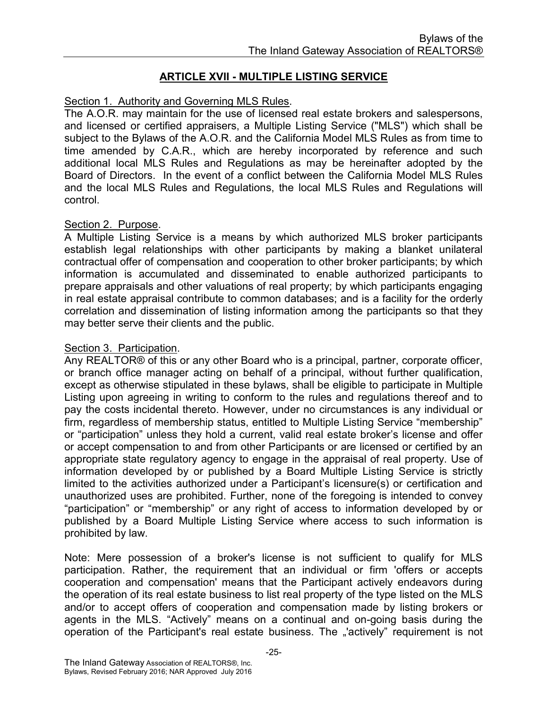#### ARTICLE XVII - MULTIPLE LISTING SERVICE

#### Section 1. Authority and Governing MLS Rules.

The A.O.R. may maintain for the use of licensed real estate brokers and salespersons, and licensed or certified appraisers, a Multiple Listing Service ("MLS") which shall be subject to the Bylaws of the A.O.R. and the California Model MLS Rules as from time to time amended by C.A.R., which are hereby incorporated by reference and such additional local MLS Rules and Regulations as may be hereinafter adopted by the Board of Directors. In the event of a conflict between the California Model MLS Rules and the local MLS Rules and Regulations, the local MLS Rules and Regulations will control.

#### Section 2. Purpose.

A Multiple Listing Service is a means by which authorized MLS broker participants establish legal relationships with other participants by making a blanket unilateral contractual offer of compensation and cooperation to other broker participants; by which information is accumulated and disseminated to enable authorized participants to prepare appraisals and other valuations of real property; by which participants engaging in real estate appraisal contribute to common databases; and is a facility for the orderly correlation and dissemination of listing information among the participants so that they may better serve their clients and the public.

#### Section 3. Participation.

Any REALTOR® of this or any other Board who is a principal, partner, corporate officer, or branch office manager acting on behalf of a principal, without further qualification, except as otherwise stipulated in these bylaws, shall be eligible to participate in Multiple Listing upon agreeing in writing to conform to the rules and regulations thereof and to pay the costs incidental thereto. However, under no circumstances is any individual or firm, regardless of membership status, entitled to Multiple Listing Service "membership" or "participation" unless they hold a current, valid real estate broker's license and offer or accept compensation to and from other Participants or are licensed or certified by an appropriate state regulatory agency to engage in the appraisal of real property. Use of information developed by or published by a Board Multiple Listing Service is strictly limited to the activities authorized under a Participant's licensure(s) or certification and unauthorized uses are prohibited. Further, none of the foregoing is intended to convey "participation" or "membership" or any right of access to information developed by or published by a Board Multiple Listing Service where access to such information is prohibited by law.

Note: Mere possession of a broker's license is not sufficient to qualify for MLS participation. Rather, the requirement that an individual or firm 'offers or accepts cooperation and compensation' means that the Participant actively endeavors during the operation of its real estate business to list real property of the type listed on the MLS and/or to accept offers of cooperation and compensation made by listing brokers or agents in the MLS. "Actively" means on a continual and on-going basis during the operation of the Participant's real estate business. The "actively" requirement is not